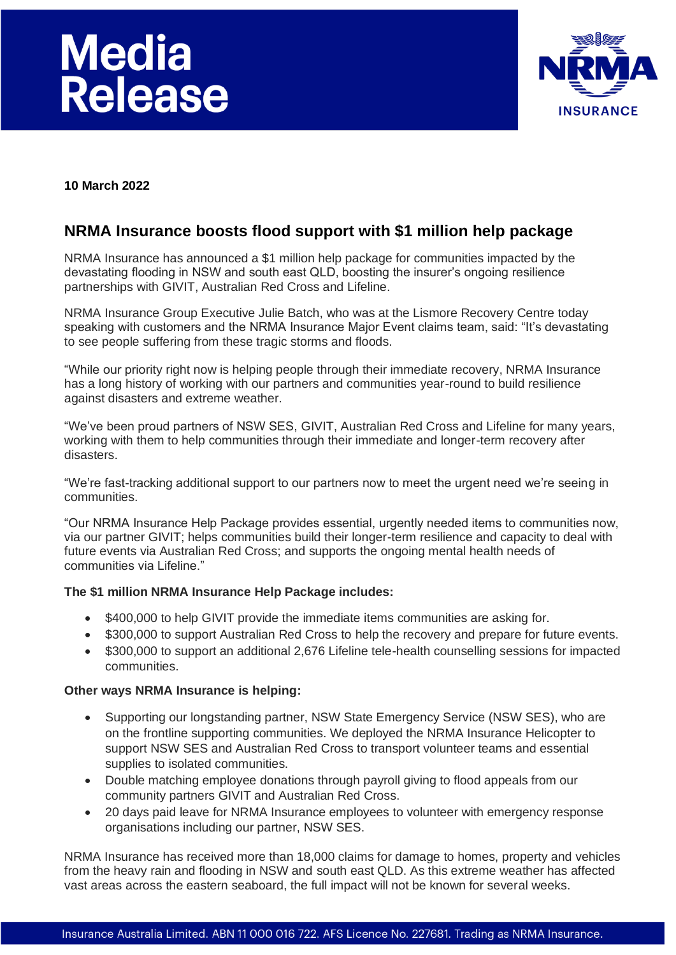# **Media** Release



**10 March 2022**

# **NRMA Insurance boosts flood support with \$1 million help package**

NRMA Insurance has announced a \$1 million help package for communities impacted by the devastating flooding in NSW and south east QLD, boosting the insurer's ongoing resilience partnerships with GIVIT, Australian Red Cross and Lifeline.

NRMA Insurance Group Executive Julie Batch, who was at the Lismore Recovery Centre today speaking with customers and the NRMA Insurance Major Event claims team, said: "It's devastating to see people suffering from these tragic storms and floods.

"While our priority right now is helping people through their immediate recovery, NRMA Insurance has a long history of working with our partners and communities year-round to build resilience against disasters and extreme weather.

"We've been proud partners of NSW SES, GIVIT, Australian Red Cross and Lifeline for many years, working with them to help communities through their immediate and longer-term recovery after disasters.

"We're fast-tracking additional support to our partners now to meet the urgent need we're seeing in communities.

"Our NRMA Insurance Help Package provides essential, urgently needed items to communities now, via our partner GIVIT; helps communities build their longer-term resilience and capacity to deal with future events via Australian Red Cross; and supports the ongoing mental health needs of communities via Lifeline."

# **The \$1 million NRMA Insurance Help Package includes:**

- \$400,000 to help GIVIT provide the immediate items communities are asking for.
- \$300,000 to support Australian Red Cross to help the recovery and prepare for future events.
- \$300,000 to support an additional 2,676 Lifeline tele-health counselling sessions for impacted communities.

# **Other ways NRMA Insurance is helping:**

- Supporting our longstanding partner, NSW State Emergency Service (NSW SES), who are on the frontline supporting communities. We deployed the NRMA Insurance Helicopter to support NSW SES and Australian Red Cross to transport volunteer teams and essential supplies to isolated communities.
- Double matching employee donations through payroll giving to flood appeals from our community partners GIVIT and Australian Red Cross.
- 20 days paid leave for NRMA Insurance employees to volunteer with emergency response organisations including our partner, NSW SES.

NRMA Insurance has received more than 18,000 claims for damage to homes, property and vehicles from the heavy rain and flooding in NSW and south east QLD. As this extreme weather has affected vast areas across the eastern seaboard, the full impact will not be known for several weeks.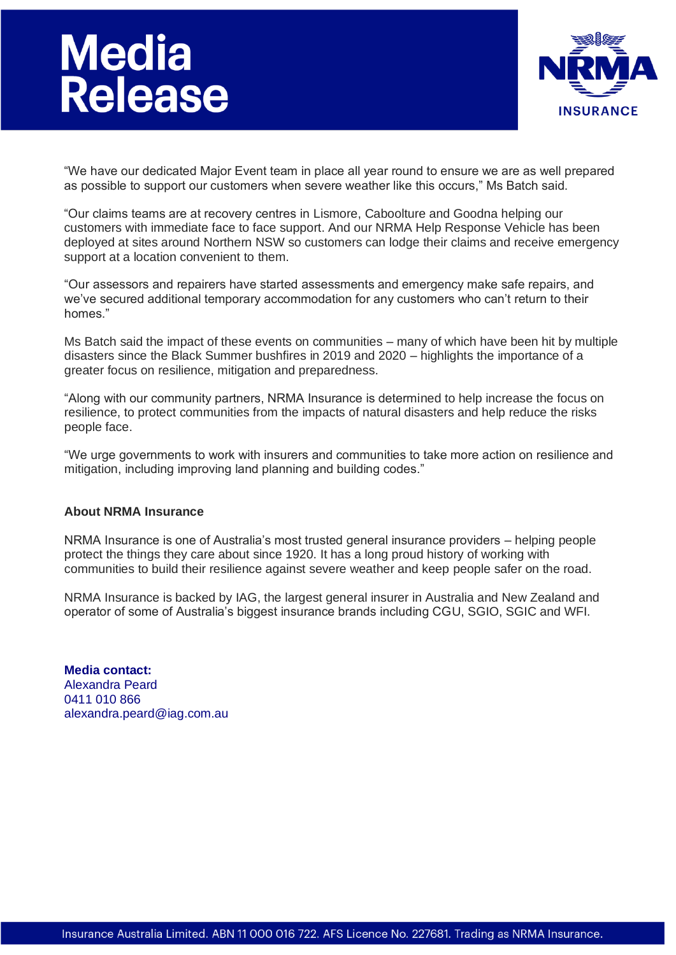# **Media<br>Release**



"We have our dedicated Major Event team in place all year round to ensure we are as well prepared as possible to support our customers when severe weather like this occurs," Ms Batch said.

"Our claims teams are at recovery centres in Lismore, Caboolture and Goodna helping our customers with immediate face to face support. And our NRMA Help Response Vehicle has been deployed at sites around Northern NSW so customers can lodge their claims and receive emergency support at a location convenient to them.

"Our assessors and repairers have started assessments and emergency make safe repairs, and we've secured additional temporary accommodation for any customers who can't return to their homes."

Ms Batch said the impact of these events on communities – many of which have been hit by multiple disasters since the Black Summer bushfires in 2019 and 2020 – highlights the importance of a greater focus on resilience, mitigation and preparedness.

"Along with our community partners, NRMA Insurance is determined to help increase the focus on resilience, to protect communities from the impacts of natural disasters and help reduce the risks people face.

"We urge governments to work with insurers and communities to take more action on resilience and mitigation, including improving land planning and building codes."

# **About NRMA Insurance**

NRMA Insurance is one of Australia's most trusted general insurance providers – helping people protect the things they care about since 1920. It has a long proud history of working with communities to build their resilience against severe weather and keep people safer on the road.

NRMA Insurance is backed by IAG, the largest general insurer in Australia and New Zealand and operator of some of Australia's biggest insurance brands including CGU, SGIO, SGIC and WFI.

**Media contact:** Alexandra Peard 0411 010 866 alexandra.peard@iag.com.au